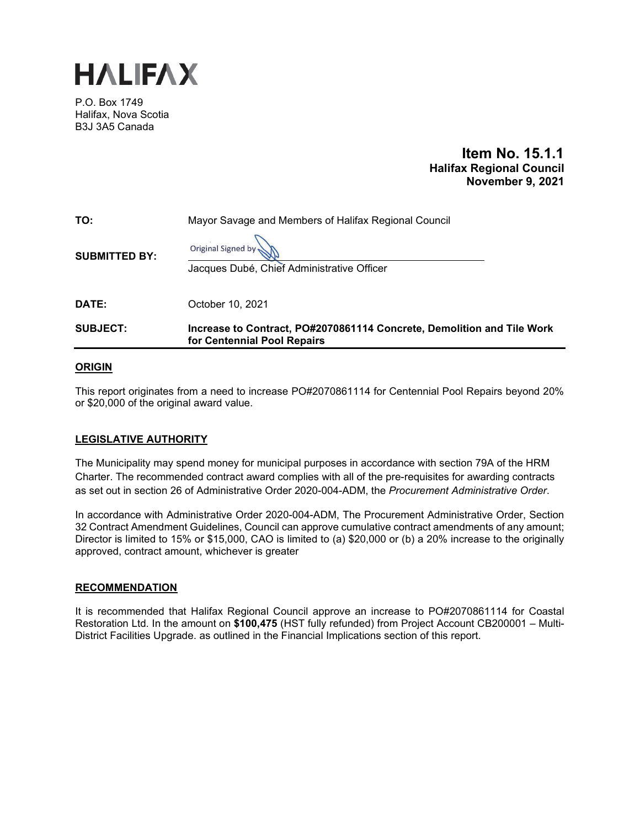

P.O. Box 1749 Halifax, Nova Scotia B3J 3A5 Canada

# **Item No. 15.1.1 Halifax Regional Council November 9, 2021**

| TO:                  | Mayor Savage and Members of Halifax Regional Council                                                  |  |
|----------------------|-------------------------------------------------------------------------------------------------------|--|
| <b>SUBMITTED BY:</b> | Original Signed by<br>Jacques Dubé, Chief Administrative Officer                                      |  |
| DATE:                | October 10, 2021                                                                                      |  |
| <b>SUBJECT:</b>      | Increase to Contract, PO#2070861114 Concrete, Demolition and Tile Work<br>for Centennial Pool Repairs |  |

# **ORIGIN**

This report originates from a need to increase PO#2070861114 for Centennial Pool Repairs beyond 20% or \$20,000 of the original award value.

## **LEGISLATIVE AUTHORITY**

The Municipality may spend money for municipal purposes in accordance with section 79A of the HRM Charter. The recommended contract award complies with all of the pre-requisites for awarding contracts as set out in section 26 of Administrative Order 2020-004-ADM, the *Procurement Administrative Order*.

In accordance with Administrative Order 2020-004-ADM, The Procurement Administrative Order, Section 32 Contract Amendment Guidelines, Council can approve cumulative contract amendments of any amount; Director is limited to 15% or \$15,000, CAO is limited to (a) \$20,000 or (b) a 20% increase to the originally approved, contract amount, whichever is greater

## **RECOMMENDATION**

It is recommended that Halifax Regional Council approve an increase to PO#2070861114 for Coastal Restoration Ltd. In the amount on **\$100,475** (HST fully refunded) from Project Account CB200001 – Multi-District Facilities Upgrade. as outlined in the Financial Implications section of this report.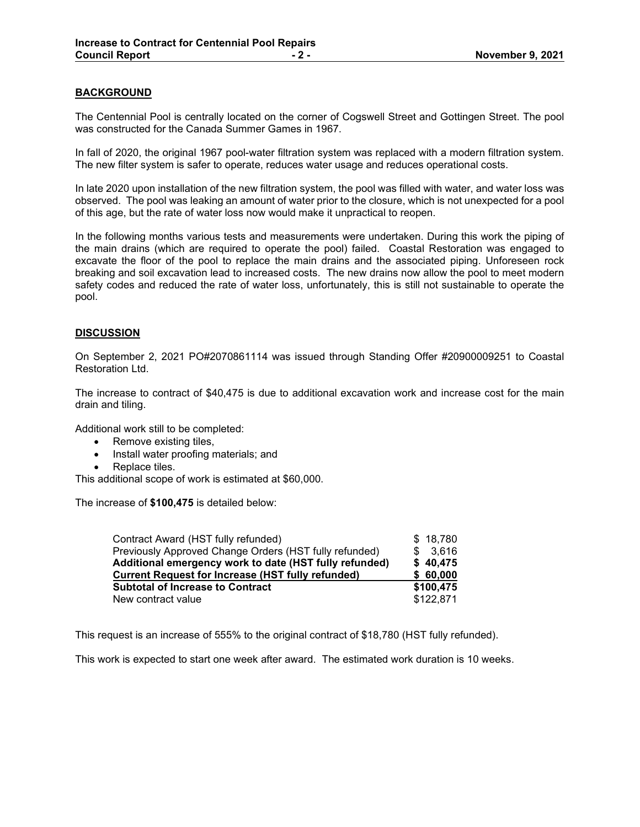# **BACKGROUND**

The Centennial Pool is centrally located on the corner of Cogswell Street and Gottingen Street. The pool was constructed for the Canada Summer Games in 1967.

In fall of 2020, the original 1967 pool-water filtration system was replaced with a modern filtration system. The new filter system is safer to operate, reduces water usage and reduces operational costs.

In late 2020 upon installation of the new filtration system, the pool was filled with water, and water loss was observed. The pool was leaking an amount of water prior to the closure, which is not unexpected for a pool of this age, but the rate of water loss now would make it unpractical to reopen.

In the following months various tests and measurements were undertaken. During this work the piping of the main drains (which are required to operate the pool) failed. Coastal Restoration was engaged to excavate the floor of the pool to replace the main drains and the associated piping. Unforeseen rock breaking and soil excavation lead to increased costs. The new drains now allow the pool to meet modern safety codes and reduced the rate of water loss, unfortunately, this is still not sustainable to operate the pool.

# **DISCUSSION**

On September 2, 2021 PO#2070861114 was issued through Standing Offer #20900009251 to Coastal Restoration Ltd.

The increase to contract of \$40,475 is due to additional excavation work and increase cost for the main drain and tiling.

Additional work still to be completed:

- Remove existing tiles,
- Install water proofing materials; and
- Replace tiles.

This additional scope of work is estimated at \$60,000.

The increase of **\$100,475** is detailed below:

| Contract Award (HST fully refunded)                      | \$18,780  |
|----------------------------------------------------------|-----------|
| Previously Approved Change Orders (HST fully refunded)   | \$3.616   |
| Additional emergency work to date (HST fully refunded)   | \$40,475  |
| <b>Current Request for Increase (HST fully refunded)</b> | \$60,000  |
| <b>Subtotal of Increase to Contract</b>                  | \$100,475 |
| New contract value                                       | \$122,871 |

This request is an increase of 555% to the original contract of \$18,780 (HST fully refunded).

This work is expected to start one week after award. The estimated work duration is 10 weeks.